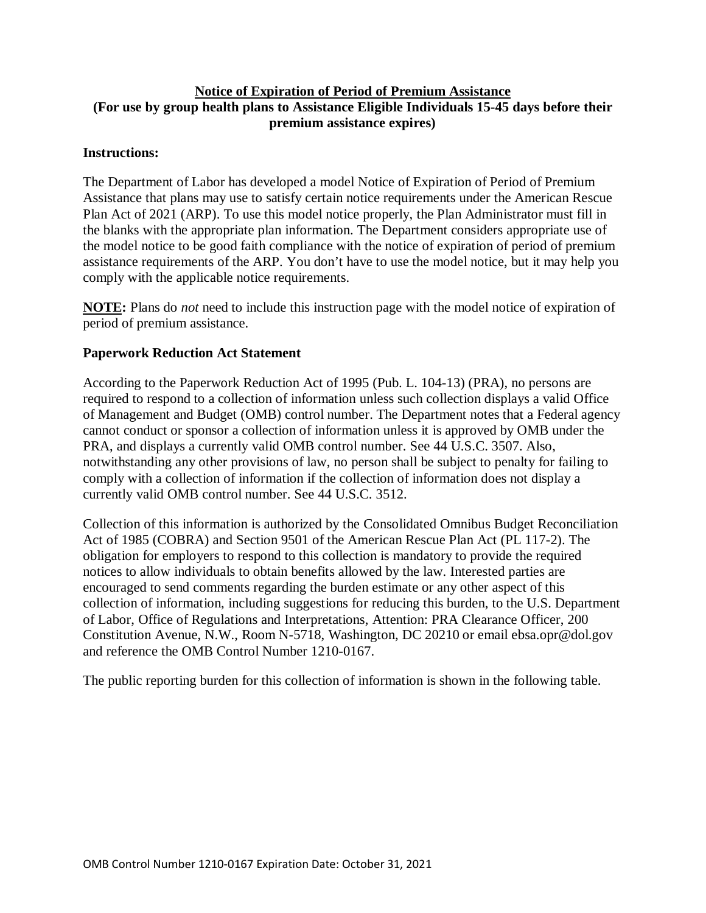# **Notice of Expiration of Period of Premium Assistance (For use by group health plans to Assistance Eligible Individuals 15-45 days before their premium assistance expires)**

#### **Instructions:**

The Department of Labor has developed a model Notice of Expiration of Period of Premium Assistance that plans may use to satisfy certain notice requirements under the American Rescue Plan Act of 2021 (ARP). To use this model notice properly, the Plan Administrator must fill in the blanks with the appropriate plan information. The Department considers appropriate use of the model notice to be good faith compliance with the notice of expiration of period of premium assistance requirements of the ARP. You don't have to use the model notice, but it may help you comply with the applicable notice requirements.

**NOTE:** Plans do *not* need to include this instruction page with the model notice of expiration of period of premium assistance.

#### **Paperwork Reduction Act Statement**

According to the Paperwork Reduction Act of 1995 (Pub. L. 104-13) (PRA), no persons are required to respond to a collection of information unless such collection displays a valid Office of Management and Budget (OMB) control number. The Department notes that a Federal agency cannot conduct or sponsor a collection of information unless it is approved by OMB under the PRA, and displays a currently valid OMB control number. See 44 U.S.C. 3507. Also, notwithstanding any other provisions of law, no person shall be subject to penalty for failing to comply with a collection of information if the collection of information does not display a currently valid OMB control number. See 44 U.S.C. 3512.

Collection of this information is authorized by the Consolidated Omnibus Budget Reconciliation Act of 1985 (COBRA) and Section 9501 of the American Rescue Plan Act (PL 117-2). The obligation for employers to respond to this collection is mandatory to provide the required notices to allow individuals to obtain benefits allowed by the law. Interested parties are encouraged to send comments regarding the burden estimate or any other aspect of this collection of information, including suggestions for reducing this burden, to the U.S. Department of Labor, Office of Regulations and Interpretations, Attention: PRA Clearance Officer, 200 Constitution Avenue, N.W., Room N-5718, Washington, DC 20210 or email ebsa.opr@dol.gov and reference the OMB Control Number 1210-0167.

The public reporting burden for this collection of information is shown in the following table.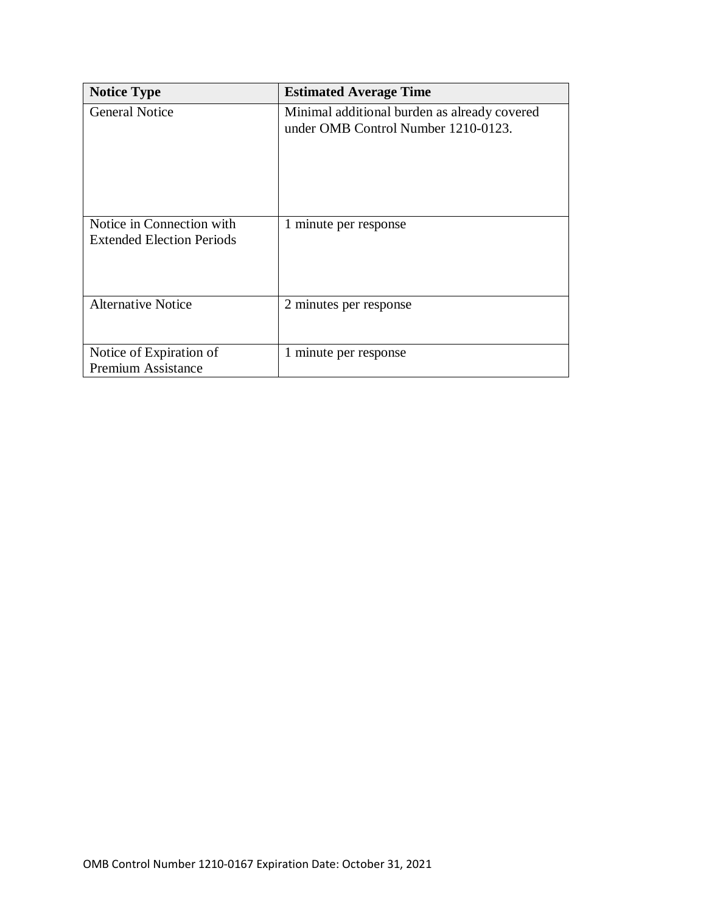| <b>Notice Type</b>                                            | <b>Estimated Average Time</b>                                                       |
|---------------------------------------------------------------|-------------------------------------------------------------------------------------|
| <b>General Notice</b>                                         | Minimal additional burden as already covered<br>under OMB Control Number 1210-0123. |
| Notice in Connection with<br><b>Extended Election Periods</b> | 1 minute per response                                                               |
| <b>Alternative Notice</b>                                     | 2 minutes per response                                                              |
| Notice of Expiration of<br><b>Premium Assistance</b>          | 1 minute per response                                                               |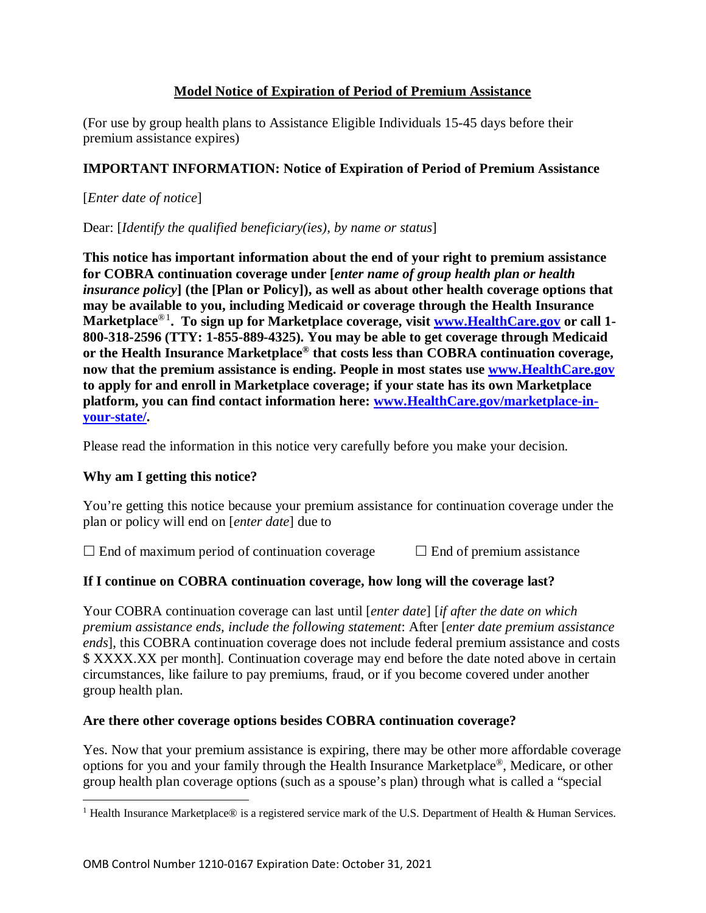# **Model Notice of Expiration of Period of Premium Assistance**

(For use by group health plans to Assistance Eligible Individuals 15-45 days before their premium assistance expires)

# **IMPORTANT INFORMATION: Notice of Expiration of Period of Premium Assistance**

[*Enter date of notice*]

Dear: [*Identify the qualified beneficiary(ies), by name or status*]

**This notice has important information about the end of your right to premium assistance for COBRA continuation coverage under [***enter name of group health plan or health insurance policy***] (the [Plan or Policy]), as well as about other health coverage options that may be available to you, including Medicaid or coverage through the Health Insurance Marketplace**®[1](#page-2-0) **. To sign up for Marketplace coverage, visit [www.HealthCare.gov](http://www.healthcare.gov/) or call 1- 800-318-2596 (TTY: 1-855-889-4325). You may be able to get coverage through Medicaid or the Health Insurance Marketplace® that costs less than COBRA continuation coverage, now that the premium assistance is ending. People in most states use [www.HealthCare.gov](https://www.healthcare.gov/) to apply for and enroll in Marketplace coverage; if your state has its own Marketplace platform, you can find contact information here: www[.HealthCare.gov/marketplace-in](https://www.healthcare.gov/marketplace-in-your-state/)[your-state/.](https://www.healthcare.gov/marketplace-in-your-state/)**

Please read the information in this notice very carefully before you make your decision.

# **Why am I getting this notice?**

 $\overline{\phantom{a}}$ 

You're getting this notice because your premium assistance for continuation coverage under the plan or policy will end on [*enter date*] due to

 $\Box$  End of maximum period of continuation coverage  $\Box$  End of premium assistance

# **If I continue on COBRA continuation coverage, how long will the coverage last?**

Your COBRA continuation coverage can last until [*enter date*] [*if after the date on which premium assistance ends, include the following statement*: After [*enter date premium assistance ends*], this COBRA continuation coverage does not include federal premium assistance and costs \$ XXXX.XX per month]*.* Continuation coverage may end before the date noted above in certain circumstances, like failure to pay premiums, fraud, or if you become covered under another group health plan.

# **Are there other coverage options besides COBRA continuation coverage?**

Yes. Now that your premium assistance is expiring, there may be other more affordable coverage options for you and your family through the Health Insurance Marketplace®, Medicare, or other group health plan coverage options (such as a spouse's plan) through what is called a "special

<span id="page-2-0"></span><sup>&</sup>lt;sup>1</sup> Health Insurance Marketplace<sup>®</sup> is a registered service mark of the U.S. Department of Health & Human Services.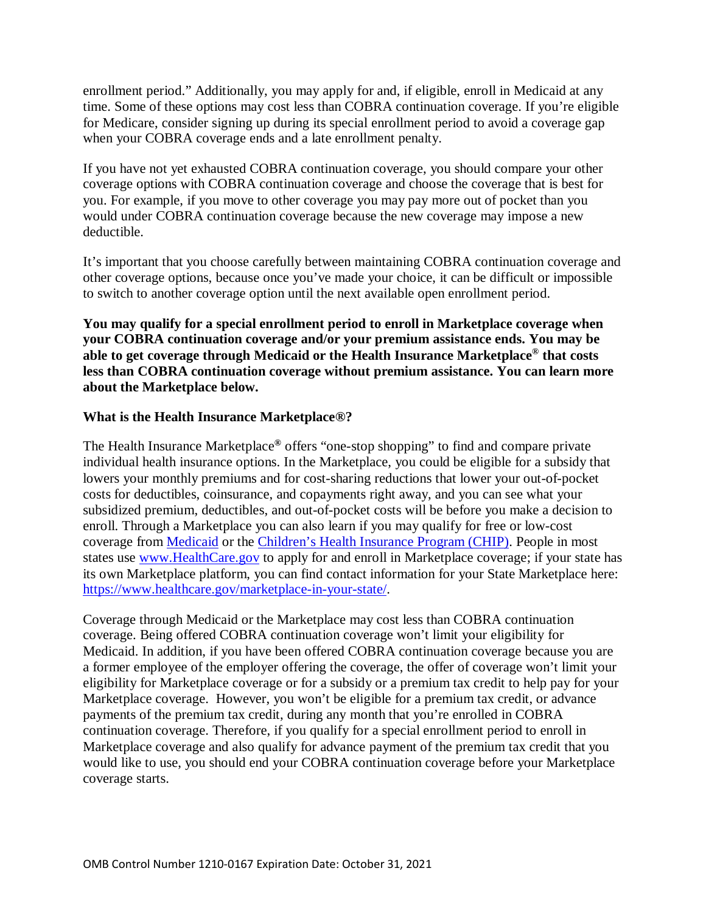enrollment period." Additionally, you may apply for and, if eligible, enroll in Medicaid at any time. Some of these options may cost less than COBRA continuation coverage. If you're eligible for Medicare, consider signing up during its special enrollment period to avoid a coverage gap when your COBRA coverage ends and a late enrollment penalty.

If you have not yet exhausted COBRA continuation coverage, you should compare your other coverage options with COBRA continuation coverage and choose the coverage that is best for you. For example, if you move to other coverage you may pay more out of pocket than you would under COBRA continuation coverage because the new coverage may impose a new deductible.

It's important that you choose carefully between maintaining COBRA continuation coverage and other coverage options, because once you've made your choice, it can be difficult or impossible to switch to another coverage option until the next available open enrollment period.

**You may qualify for a special enrollment period to enroll in Marketplace coverage when your COBRA continuation coverage and/or your premium assistance ends. You may be able to get coverage through Medicaid or the Health Insurance Marketplace® that costs less than COBRA continuation coverage without premium assistance. You can learn more about the Marketplace below.**

#### **What is the Health Insurance Marketplace®?**

The Health Insurance Marketplace**®** offers "one-stop shopping" to find and compare private individual health insurance options. In the Marketplace, you could be eligible for a subsidy that lowers your monthly premiums and for cost-sharing reductions that lower your out-of-pocket costs for deductibles, coinsurance, and copayments right away, and you can see what your subsidized premium, deductibles, and out-of-pocket costs will be before you make a decision to enroll. Through a Marketplace you can also learn if you may qualify for free or low-cost coverage from [Medicaid](https://www.healthcare.gov/do-i-qualify-for-medicaid) or the [Children's Health Insurance Program \(CHIP\).](https://www.healthcare.gov/are-my-children-eligible-for-chip) People in most states use [www.HealthCare.gov](https://www.healthcare.gov/) to apply for and enroll in Marketplace coverage; if your state has its own Marketplace platform, you can find contact information for your State Marketplace here: [https://www.healthcare.gov/marketplace-in-your-state/.](https://www.healthcare.gov/marketplace-in-your-state/)

Coverage through Medicaid or the Marketplace may cost less than COBRA continuation coverage. Being offered COBRA continuation coverage won't limit your eligibility for Medicaid. In addition, if you have been offered COBRA continuation coverage because you are a former employee of the employer offering the coverage, the offer of coverage won't limit your eligibility for Marketplace coverage or for a subsidy or a premium tax credit to help pay for your Marketplace coverage. However, you won't be eligible for a premium tax credit, or advance payments of the premium tax credit, during any month that you're enrolled in COBRA continuation coverage. Therefore, if you qualify for a special enrollment period to enroll in Marketplace coverage and also qualify for advance payment of the premium tax credit that you would like to use, you should end your COBRA continuation coverage before your Marketplace coverage starts.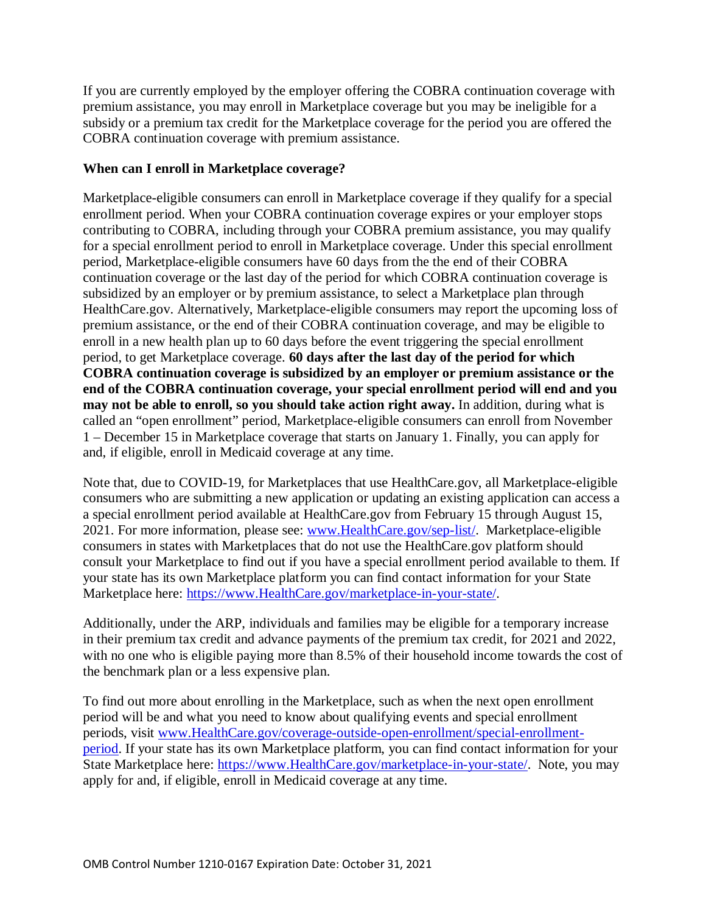If you are currently employed by the employer offering the COBRA continuation coverage with premium assistance, you may enroll in Marketplace coverage but you may be ineligible for a subsidy or a premium tax credit for the Marketplace coverage for the period you are offered the COBRA continuation coverage with premium assistance.

#### **When can I enroll in Marketplace coverage?**

Marketplace-eligible consumers can enroll in Marketplace coverage if they qualify for a special enrollment period. When your COBRA continuation coverage expires or your employer stops contributing to COBRA, including through your COBRA premium assistance, you may qualify for a special enrollment period to enroll in Marketplace coverage. Under this special enrollment period, Marketplace-eligible consumers have 60 days from the the end of their COBRA continuation coverage or the last day of the period for which COBRA continuation coverage is subsidized by an employer or by premium assistance, to select a Marketplace plan through HealthCare.gov. Alternatively, Marketplace-eligible consumers may report the upcoming loss of premium assistance, or the end of their COBRA continuation coverage, and may be eligible to enroll in a new health plan up to 60 days before the event triggering the special enrollment period, to get Marketplace coverage. **60 days after the last day of the period for which COBRA continuation coverage is subsidized by an employer or premium assistance or the end of the COBRA continuation coverage, your special enrollment period will end and you may not be able to enroll, so you should take action right away.** In addition, during what is called an "open enrollment" period, Marketplace-eligible consumers can enroll from November 1 – December 15 in Marketplace coverage that starts on January 1. Finally, you can apply for and, if eligible, enroll in Medicaid coverage at any time.

Note that, due to COVID-19, for Marketplaces that use HealthCare.gov, all Marketplace-eligible consumers who are submitting a new application or updating an existing application can access a a special enrollment period available at HealthCare.gov from February 15 through August 15, 2021. For more information, please see: [www.HealthCare.gov/sep-list/.](http://www.healthcare.gov/sep-list/) Marketplace-eligible consumers in states with Marketplaces that do not use the HealthCare.gov platform should consult your Marketplace to find out if you have a special enrollment period available to them. If your state has its own Marketplace platform you can find contact information for your State Marketplace here: https://www.HealthCare.gov/marketplace-in-your-state/.

Additionally, under the ARP, individuals and families may be eligible for a temporary increase in their premium tax credit and advance payments of the premium tax credit, for 2021 and 2022, with no one who is eligible paying more than 8.5% of their household income towards the cost of the benchmark plan or a less expensive plan.

To find out more about enrolling in the Marketplace, such as when the next open enrollment period will be and what you need to know about qualifying events and special enrollment periods, visit [www.HealthCare.gov/](http://www.healthcare.gov/)coverage-outside-open-enrollment/special-enrollmentperiod. If your state has its own Marketplace platform, you can find contact information for your State Marketplace here: https://www.HealthCare.gov/marketplace-in-your-state/. Note, you may apply for and, if eligible, enroll in Medicaid coverage at any time.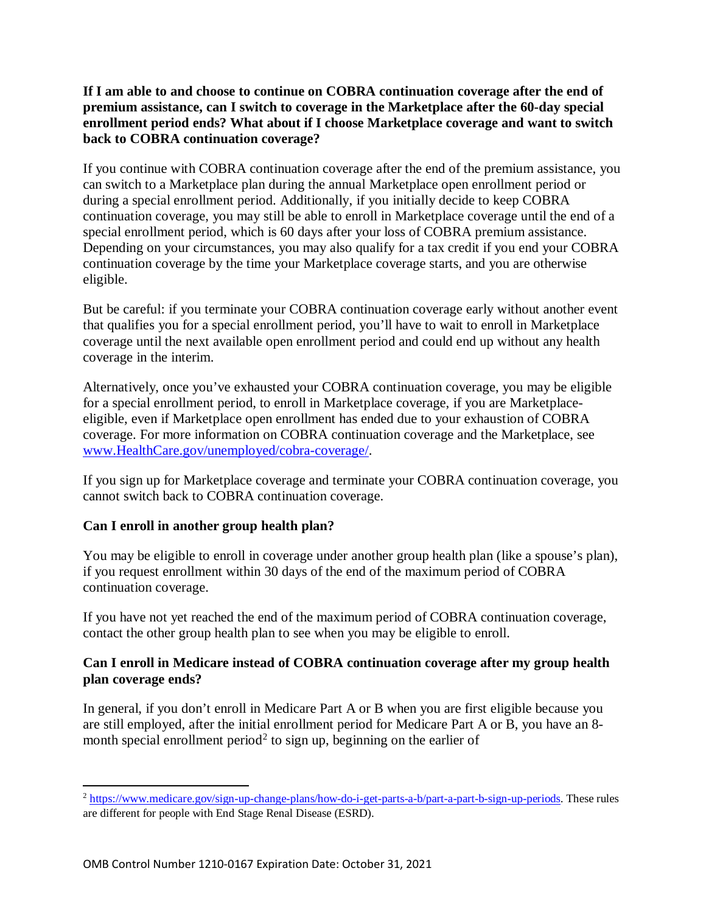#### **If I am able to and choose to continue on COBRA continuation coverage after the end of premium assistance, can I switch to coverage in the Marketplace after the 60-day special enrollment period ends? What about if I choose Marketplace coverage and want to switch back to COBRA continuation coverage?**

If you continue with COBRA continuation coverage after the end of the premium assistance, you can switch to a Marketplace plan during the annual Marketplace open enrollment period or during a special enrollment period. Additionally, if you initially decide to keep COBRA continuation coverage, you may still be able to enroll in Marketplace coverage until the end of a special enrollment period, which is 60 days after your loss of COBRA premium assistance. Depending on your circumstances, you may also qualify for a tax credit if you end your COBRA continuation coverage by the time your Marketplace coverage starts, and you are otherwise eligible.

But be careful: if you terminate your COBRA continuation coverage early without another event that qualifies you for a special enrollment period, you'll have to wait to enroll in Marketplace coverage until the next available open enrollment period and could end up without any health coverage in the interim.

Alternatively, once you've exhausted your COBRA continuation coverage, you may be eligible for a special enrollment period, to enroll in Marketplace coverage, if you are Marketplaceeligible, even if Marketplace open enrollment has ended due to your exhaustion of COBRA coverage. For more information on COBRA continuation coverage and the Marketplace, see [www.HealthCare.gov/unemployed/cobra-coverage/.](https://www.healthcare.gov/unemployed/cobra-coverage/)

If you sign up for Marketplace coverage and terminate your COBRA continuation coverage, you cannot switch back to COBRA continuation coverage.

# **Can I enroll in another group health plan?**

 $\overline{\phantom{a}}$ 

You may be eligible to enroll in coverage under another group health plan (like a spouse's plan), if you request enrollment within 30 days of the end of the maximum period of COBRA continuation coverage.

If you have not yet reached the end of the maximum period of COBRA continuation coverage, contact the other group health plan to see when you may be eligible to enroll.

# **Can I enroll in Medicare instead of COBRA continuation coverage after my group health plan coverage ends?**

In general, if you don't enroll in Medicare Part A or B when you are first eligible because you are still employed, after the initial enrollment period for Medicare Part A or B, you have an 8- month special enrollment period<sup>[2](#page-5-0)</sup> to sign up, beginning on the earlier of

<span id="page-5-0"></span><sup>&</sup>lt;sup>2</sup> [https://www.medicare.gov/sign-up-change-plans/how-do-i-get-parts-a-b/part-a-part-b-sign-up-periods.](https://www.medicare.gov/sign-up-change-plans/how-do-i-get-parts-a-b/part-a-part-b-sign-up-periods) These rules are different for people with End Stage Renal Disease (ESRD).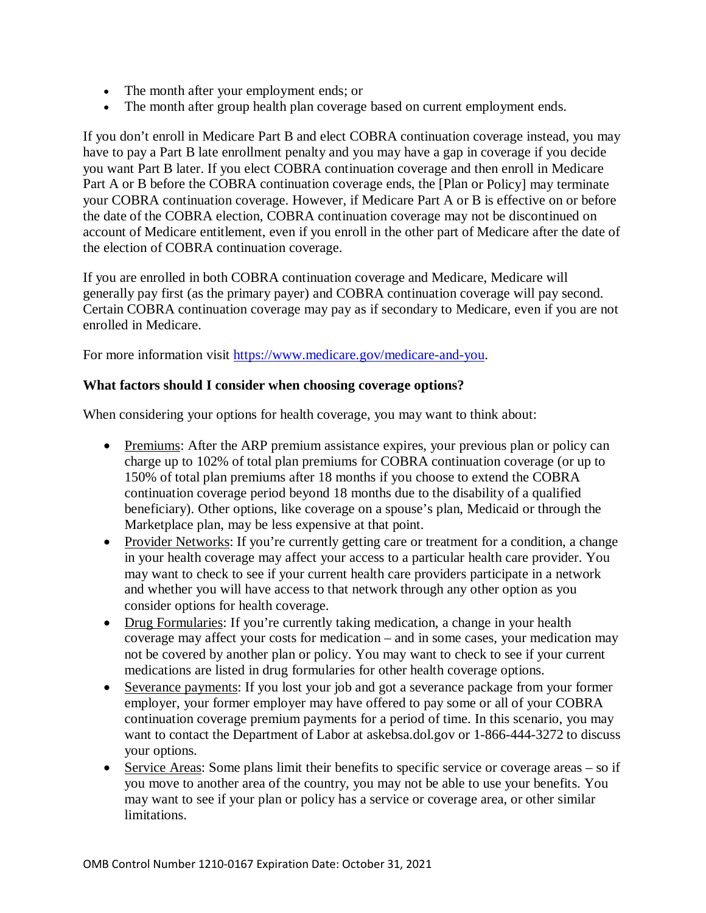- The month after your employment ends; or
- The month after group health plan coverage based on current employment ends.

If you don't enroll in Medicare Part B and elect COBRA continuation coverage instead, you may have to pay a Part B late enrollment penalty and you may have a gap in coverage if you decide you want Part B later. If you elect COBRA continuation coverage and then enroll in Medicare Part A or B before the COBRA continuation coverage ends, the [Plan or Policy] may terminate your COBRA continuation coverage. However, if Medicare Part A or B is effective on or before the date of the COBRA election, COBRA continuation coverage may not be discontinued on account of Medicare entitlement, even if you enroll in the other part of Medicare after the date of the election of COBRA continuation coverage.

If you are enrolled in both COBRA continuation coverage and Medicare, Medicare will generally pay first (as the primary payer) and COBRA continuation coverage will pay second. Certain COBRA continuation coverage may pay as if secondary to Medicare, even if you are not enrolled in Medicare.

For more information visit [https://www.medicare.gov/medicare-and-you.](https://www.medicare.gov/medicare-and-you)

#### **What factors should I consider when choosing coverage options?**

When considering your options for health coverage, you may want to think about:

- Premiums: After the ARP premium assistance expires, your previous plan or policy can charge up to 102% of total plan premiums for COBRA continuation coverage (or up to 150% of total plan premiums after 18 months if you choose to extend the COBRA continuation coverage period beyond 18 months due to the disability of a qualified beneficiary). Other options, like coverage on a spouse's plan, Medicaid or through the Marketplace plan, may be less expensive at that point.
- Provider Networks: If you're currently getting care or treatment for a condition, a change in your health coverage may affect your access to a particular health care provider. You may want to check to see if your current health care providers participate in a network and whether you will have access to that network through any other option as you consider options for health coverage.
- Drug Formularies: If you're currently taking medication, a change in your health coverage may affect your costs for medication – and in some cases, your medication may not be covered by another plan or policy. You may want to check to see if your current medications are listed in drug formularies for other health coverage options.
- Severance payments: If you lost your job and got a severance package from your former employer, your former employer may have offered to pay some or all of your COBRA continuation coverage premium payments for a period of time. In this scenario, you may want to contact the Department of Labor at askebsa.dol.gov or 1-866-444-3272 to discuss your options.
- Service Areas: Some plans limit their benefits to specific service or coverage areas so if you move to another area of the country, you may not be able to use your benefits. You may want to see if your plan or policy has a service or coverage area, or other similar limitations.